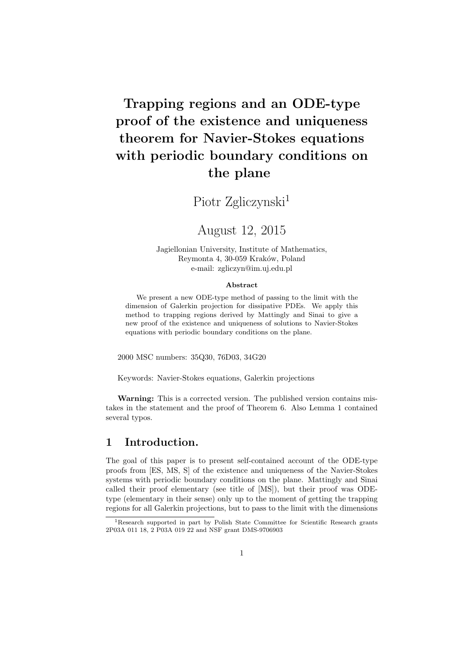# **Trapping regions and an ODE-type proof of the existence and uniqueness theorem for Navier-Stokes equations with periodic boundary conditions on the plane**

Piotr Zgliczynski<sup>1</sup>

# August 12, 2015

Jagiellonian University, Institute of Mathematics, Reymonta 4, 30-059 Kraków, Poland e-mail: zgliczyn@im.uj.edu.pl

#### **Abstract**

We present a new ODE-type method of passing to the limit with the dimension of Galerkin projection for dissipative PDEs. We apply this method to trapping regions derived by Mattingly and Sinai to give a new proof of the existence and uniqueness of solutions to Navier-Stokes equations with periodic boundary conditions on the plane.

2000 MSC numbers: 35Q30, 76D03, 34G20

Keywords: Navier-Stokes equations, Galerkin projections

**Warning:** This is a corrected version. The published version contains mistakes in the statement and the proof of Theorem 6. Also Lemma 1 contained several typos.

# **1 Introduction.**

The goal of this paper is to present self-contained account of the ODE-type proofs from [ES, MS, S] of the existence and uniqueness of the Navier-Stokes systems with periodic boundary conditions on the plane. Mattingly and Sinai called their proof elementary (see title of [MS]), but their proof was ODEtype (elementary in their sense) only up to the moment of getting the trapping regions for all Galerkin projections, but to pass to the limit with the dimensions

<sup>1</sup>Research supported in part by Polish State Committee for Scientific Research grants 2P03A 011 18, 2 P03A 019 22 and NSF grant DMS-9706903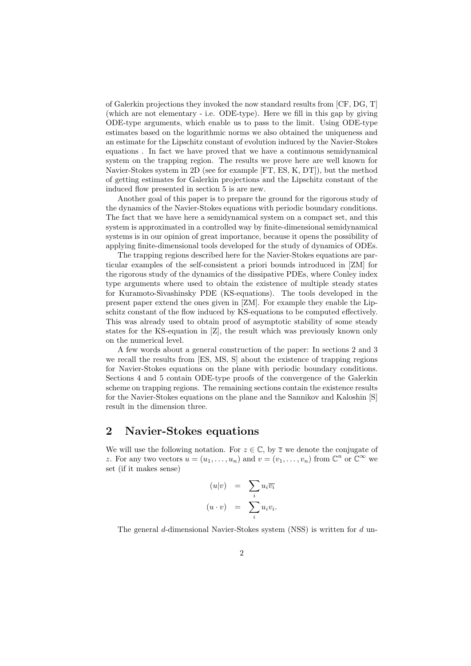of Galerkin projections they invoked the now standard results from [CF, DG, T] (which are not elementary - i.e. ODE-type). Here we fill in this gap by giving ODE-type arguments, which enable us to pass to the limit. Using ODE-type estimates based on the logarithmic norms we also obtained the uniqueness and an estimate for the Lipschitz constant of evolution induced by the Navier-Stokes equations . In fact we have proved that we have a continuous semidynamical system on the trapping region. The results we prove here are well known for Navier-Stokes system in 2D (see for example [FT, ES, K, DT]), but the method of getting estimates for Galerkin projections and the Lipschitz constant of the induced flow presented in section 5 is are new.

Another goal of this paper is to prepare the ground for the rigorous study of the dynamics of the Navier-Stokes equations with periodic boundary conditions. The fact that we have here a semidynamical system on a compact set, and this system is approximated in a controlled way by finite-dimensional semidynamical systems is in our opinion of great importance, because it opens the possibility of applying finite-dimensional tools developed for the study of dynamics of ODEs.

The trapping regions described here for the Navier-Stokes equations are particular examples of the self-consistent a priori bounds introduced in [ZM] for the rigorous study of the dynamics of the dissipative PDEs, where Conley index type arguments where used to obtain the existence of multiple steady states for Kuramoto-Sivashinsky PDE (KS-equations). The tools developed in the present paper extend the ones given in [ZM]. For example they enable the Lipschitz constant of the flow induced by KS-equations to be computed effectively. This was already used to obtain proof of asymptotic stability of some steady states for the KS-equation in [Z], the result which was previously known only on the numerical level.

A few words about a general construction of the paper: In sections 2 and 3 we recall the results from [ES, MS, S] about the existence of trapping regions for Navier-Stokes equations on the plane with periodic boundary conditions. Sections 4 and 5 contain ODE-type proofs of the convergence of the Galerkin scheme on trapping regions. The remaining sections contain the existence results for the Navier-Stokes equations on the plane and the Sannikov and Kaloshin [S] result in the dimension three.

### **2 Navier-Stokes equations**

We will use the following notation. For  $z \in \mathbb{C}$ , by  $\overline{z}$  we denote the conjugate of *z*. For any two vectors  $u = (u_1, \ldots, u_n)$  and  $v = (v_1, \ldots, v_n)$  from  $\mathbb{C}^n$  or  $\mathbb{C}^\infty$  we set (if it makes sense)

$$
(u|v) = \sum_{i} u_{i} \overline{v_{i}}
$$

$$
(u \cdot v) = \sum_{i} u_{i} v_{i}.
$$

The general *d*-dimensional Navier-Stokes system (NSS) is written for *d* un-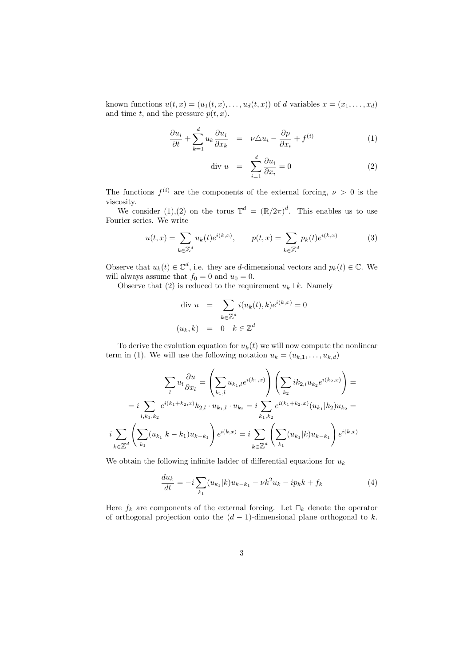known functions  $u(t, x) = (u_1(t, x), \dots, u_d(t, x))$  of *d* variables  $x = (x_1, \dots, x_d)$ and time  $t$ , and the pressure  $p(t, x)$ .

$$
\frac{\partial u_i}{\partial t} + \sum_{k=1}^d u_k \frac{\partial u_i}{\partial x_k} = \nu \triangle u_i - \frac{\partial p}{\partial x_i} + f^{(i)}
$$
(1)

$$
\text{div } u = \sum_{i=1}^{d} \frac{\partial u_i}{\partial x_i} = 0 \tag{2}
$$

The functions  $f^{(i)}$  are the components of the external forcing,  $\nu > 0$  is the viscosity.

We consider (1), (2) on the torus  $\mathbb{T}^d = (\mathbb{R}/2\pi)^d$ . This enables us to use Fourier series. We write

$$
u(t,x) = \sum_{k \in \mathbb{Z}^d} u_k(t) e^{i(k,x)}, \qquad p(t,x) = \sum_{k \in \mathbb{Z}^d} p_k(t) e^{i(k,x)} \tag{3}
$$

Observe that  $u_k(t) \in \mathbb{C}^d$ , i.e. they are *d*-dimensional vectors and  $p_k(t) \in \mathbb{C}$ . We will always assume that  $f_0 = 0$  and  $u_0 = 0$ .

Observe that (2) is reduced to the requirement  $u_k \perp k$ . Namely

$$
\begin{aligned}\n\text{div } u &= \sum_{k \in \mathbb{Z}^d} i(u_k(t), k) e^{i(k, x)} = 0 \\
(u_k, k) &= 0 \quad k \in \mathbb{Z}^d\n\end{aligned}
$$

To derive the evolution equation for  $u_k(t)$  we will now compute the nonlinear term in (1). We will use the following notation  $u_k = (u_{k,1}, \ldots, u_{k,d})$ 

$$
\sum_{l} u_{l} \frac{\partial u}{\partial x_{l}} = \left(\sum_{k_{1},l} u_{k_{1},l} e^{i(k_{1},x)}\right) \left(\sum_{k_{2}} i k_{2,l} u_{k_{2}} e^{i(k_{2},x)}\right) =
$$
  

$$
= i \sum_{l,k_{1},k_{2}} e^{i(k_{1}+k_{2},x)} k_{2,l} \cdot u_{k_{1},l} \cdot u_{k_{2}} = i \sum_{k_{1},k_{2}} e^{i(k_{1}+k_{2},x)} (u_{k_{1}}|k_{2}) u_{k_{2}} =
$$
  

$$
i \sum_{k \in \mathbb{Z}^{d}} \left(\sum_{k_{1}} (u_{k_{1}}|k-k_{1}) u_{k-k_{1}}\right) e^{i(k,x)} = i \sum_{k \in \mathbb{Z}^{d}} \left(\sum_{k_{1}} (u_{k_{1}}|k) u_{k-k_{1}}\right) e^{i(k,x)}
$$

We obtain the following infinite ladder of differential equations for  $u_k$ 

$$
\frac{du_k}{dt} = -i \sum_{k_1} (u_{k_1}|k)u_{k-k_1} - \nu k^2 u_k - ip_k k + f_k \tag{4}
$$

Here *f<sup>k</sup>* are components of the external forcing. Let *⊓<sup>k</sup>* denote the operator of orthogonal projection onto the  $(d-1)$ -dimensional plane orthogonal to *k*.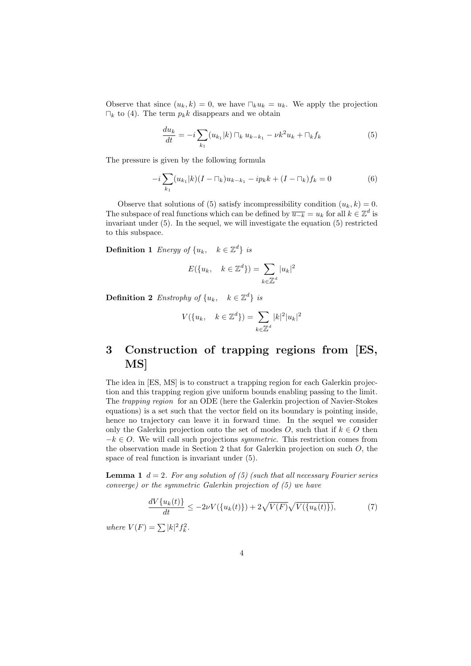Observe that since  $(u_k, k) = 0$ , we have  $\Box_k u_k = u_k$ . We apply the projection *⊓<sup>k</sup>* to (4). The term *pkk* disappears and we obtain

$$
\frac{du_k}{dt} = -i \sum_{k_1} (u_{k_1}|k) \sqcap_k u_{k-k_1} - \nu k^2 u_k + \sqcap_k f_k \tag{5}
$$

The pressure is given by the following formula

$$
-i\sum_{k_1} (u_{k_1}|k)(I - \square_k)u_{k-k_1} - ip_k k + (I - \square_k)f_k = 0
$$
\n(6)

Observe that solutions of (5) satisfy incompressibility condition  $(u_k, k) = 0$ . The subspace of real functions which can be defined by  $\overline{u_{-k}} = u_k$  for all  $k \in \mathbb{Z}^d$  is invariant under (5). In the sequel, we will investigate the equation (5) restricted to this subspace.

**Definition 1** *Energy of*  $\{u_k, \quad k \in \mathbb{Z}^d\}$  *is* 

$$
E({u_k, k \in \mathbb{Z}^d}) = \sum_{k \in \mathbb{Z}^d} |u_k|^2
$$

**Definition 2** *Enstrophy of*  $\{u_k, k \in \mathbb{Z}^d\}$  *is* 

$$
V(\{u_k, \quad k \in \mathbb{Z}^d\}) = \sum_{k \in \mathbb{Z}^d} |k|^2 |u_k|^2
$$

# **3 Construction of trapping regions from [ES, MS]**

The idea in [ES, MS] is to construct a trapping region for each Galerkin projection and this trapping region give uniform bounds enabling passing to the limit. The *trapping region* for an ODE (here the Galerkin projection of Navier-Stokes equations) is a set such that the vector field on its boundary is pointing inside, hence no trajectory can leave it in forward time. In the sequel we consider only the Galerkin projection onto the set of modes  $O$ , such that if  $k \in O$  then *−k ∈ O*. We will call such projections *symmetric*. This restriction comes from the observation made in Section 2 that for Galerkin projection on such *O*, the space of real function is invariant under (5).

**Lemma 1**  $d = 2$ *. For any solution of (5) (such that all necessary Fourier series converge) or the symmetric Galerkin projection of (5) we have*

$$
\frac{dV\{u_k(t)\}}{dt} \le -2\nu V(\{u_k(t)\}) + 2\sqrt{V(F)}\sqrt{V(\{u_k(t)\})},\tag{7}
$$

*where*  $V(F) = \sum |k|^2 f_k^2$ .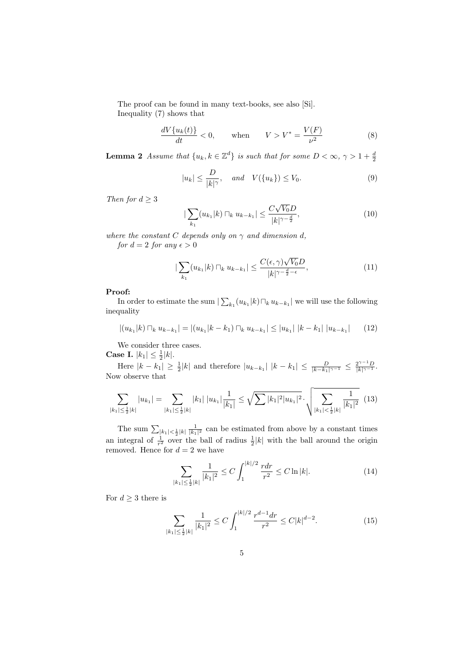The proof can be found in many text-books, see also [Si]. Inequality (7) shows that

$$
\frac{dV\{u_k(t)\}}{dt} < 0, \qquad \text{when} \qquad V > V^* = \frac{V(F)}{\nu^2} \tag{8}
$$

**Lemma 2** *Assume that*  $\{u_k, k \in \mathbb{Z}^d\}$  *is such that for some*  $D < \infty$ ,  $\gamma > 1 + \frac{d}{2}$ 

$$
|u_k| \le \frac{D}{|k|^\gamma}, \quad \text{and} \quad V(\{u_k\}) \le V_0. \tag{9}
$$

*Then for*  $d \geq 3$ 

$$
|\sum_{k_1} (u_{k_1}|k) \sqcap_k u_{k-k_1}| \leq \frac{C\sqrt{V_0}D}{|k|^{\gamma - \frac{d}{2}}},\tag{10}
$$

*where the constant C depends only on*  $\gamma$  *and dimension d*, *for*  $d = 2$  *for* any  $\epsilon > 0$ 

$$
\left|\sum_{k_1} (u_{k_1}|k)\sqcap_k u_{k-k_1}\right| \le \frac{C(\epsilon,\gamma)\sqrt{V_0}D}{|k|^{\gamma-\frac{d}{2}-\epsilon}},\tag{11}
$$

#### **Proof:**

In order to estimate the sum  $|\sum_{k_1} (u_{k_1} | k) \cap_k u_{k-k_1}|$  we will use the following inequality

$$
|(u_{k_1}|k) \sqcap_k u_{k-k_1}| = |(u_{k_1}|k-k_1) \sqcap_k u_{k-k_1}| \le |u_{k_1}| |k-k_1| |u_{k-k_1}| \qquad (12)
$$

We consider three cases. **Case I.**  $|k_1| \leq \frac{1}{2}|k|$ .

Here  $|k - k_1| \geq \frac{1}{2}|k|$  and therefore  $|u_{k-k_1}| |k - k_1| \leq \frac{D}{|k - k_1|^{\gamma - 1}} \leq \frac{2^{\gamma - 1}D}{|k|^{\gamma - 1}}$ . Now observe that

$$
\sum_{|k_1| \leq \frac{1}{2}|k|} |u_{k_1}| = \sum_{|k_1| \leq \frac{1}{2}|k|} |k_1| \, |u_{k_1}| \frac{1}{|k_1|} \leq \sqrt{\sum |k_1|^2 |u_{k_1}|^2} \cdot \sqrt{\sum_{|k_1| < \frac{1}{2}|k|} \frac{1}{|k_1|^2}} \tag{13}
$$

The sum  $\sum_{|k_1| < \frac{1}{2}|k|} \frac{1}{|k_1|^2}$  can be estimated from above by a constant times an integral of  $\frac{1}{r^2}$  over the ball of radius  $\frac{1}{2}|k|$  with the ball around the origin removed. Hence for  $d = 2$  we have

$$
\sum_{|k_1| \le \frac{1}{2}|k|} \frac{1}{|k_1|^2} \le C \int_1^{|k|/2} \frac{r dr}{r^2} \le C \ln |k|. \tag{14}
$$

For  $d \geq 3$  there is

$$
\sum_{|k_1| \le \frac{1}{2}|k|} \frac{1}{|k_1|^2} \le C \int_1^{|k|/2} \frac{r^{d-1} dr}{r^2} \le C|k|^{d-2}.\tag{15}
$$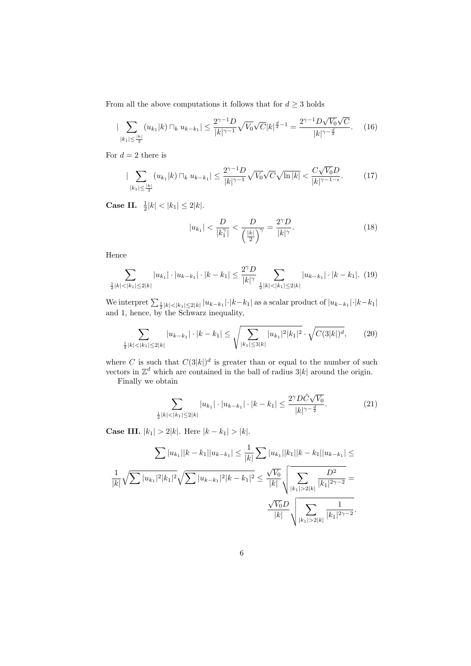From all the above computations it follows that for  $d \geq 3$  holds

$$
|\sum_{|k_1| \leq \frac{|k|}{2}} (u_{k_1}|k) \sqcap_k u_{k-k_1}| \leq \frac{2^{\gamma - 1} D}{|k|^{\gamma - 1}} \sqrt{V_0} \sqrt{C} |k|^{\frac{d}{2} - 1} = \frac{2^{\gamma - 1} D \sqrt{V_0} \sqrt{C}}{|k|^{\gamma - \frac{d}{2}}}.
$$
 (16)

For  $d=2$  there is

$$
|\sum_{|k_1| \leq \frac{|k|}{2}} (u_{k_1}|k) \sqcap_k u_{k-k_1}| \leq \frac{2^{\gamma - 1} D}{|k|^{\gamma - 1}} \sqrt{V_0} \sqrt{C} \sqrt{\ln |k|} < \frac{C \sqrt{V_0} D}{|k|^{\gamma - 1 - \epsilon}}.\tag{17}
$$

**Case II.**  $\frac{1}{2}|k| < |k_1| \leq 2|k|$ .

$$
|u_{k_1}| < \frac{D}{|k_1^{\gamma}|} < \frac{D}{\left(\frac{|k|}{2}\right)^{\gamma}} = \frac{2^{\gamma}D}{|k|^{\gamma}}.\tag{18}
$$

Hence

$$
\sum_{\frac{1}{2}|k| < |k_1| \le 2|k|} |u_{k_1}| \cdot |u_{k-k_1}| \cdot |k - k_1| \le \frac{2^{\gamma} D}{|k|^{\gamma}} \sum_{\frac{1}{2}|k| < |k_1| \le 2|k|} |u_{k-k_1}| \cdot |k - k_1|. \tag{19}
$$

We interpret  $\sum_{\frac{1}{2}|k|<|k_1|\leq 2|k|} |u_{k-k_1}|\cdot |k-k_1|$  as a scalar product of  $|u_{k-k_1}|\cdot |k-k_1|$ and 1, hence, by the Schwarz inequality,

$$
\sum_{\frac{1}{2}|k| < |k_1| \le 2|k|} |u_{k-k_1}| \cdot |k - k_1| \le \sqrt{\sum_{|k_1| \le 3|k|} |u_{k_1}|^2 |k_1|^2} \cdot \sqrt{C(3|k|)^d},\tag{20}
$$

where *C* is such that  $C(3|k|)^d$  is greater than or equal to the number of such vectors in  $\mathbb{Z}^d$  which are contained in the ball of radius  $3|k|$  around the origin.

Finally we obtain

$$
\sum_{\frac{1}{2}|k| < |k_1| \le 2|k|} |u_{k_1}| \cdot |u_{k-k_1}| \cdot |k - k_1| \le \frac{2^{\gamma} D\tilde{C}\sqrt{V_0}}{|k|^{\gamma - \frac{d}{2}}}.\tag{21}
$$

**Case III.**  $|k_1| > 2|k|$ . Here  $|k - k_1| > |k|$ .

$$
\sum |u_{k_1}||k - k_1||u_{k-k_1}| \le \frac{1}{|k|} \sum |u_{k_1}||k_1||k - k_1||u_{k-k_1}| \le
$$
  

$$
\frac{1}{|k|} \sqrt{\sum |u_{k_1}|^2 |k_1|^2} \sqrt{\sum |u_{k-k_1}|^2 |k - k_1|^2} \le \frac{\sqrt{V_0}}{|k|} \sqrt{\sum_{|k_1| > 2|k|} \frac{D^2}{|k_1|^{2\gamma - 2}}} =
$$
  

$$
\frac{\sqrt{V_0}D}{|k|} \sqrt{\sum_{|k_1| > 2|k|} \frac{1}{|k_1|^{2\gamma - 2}}}.
$$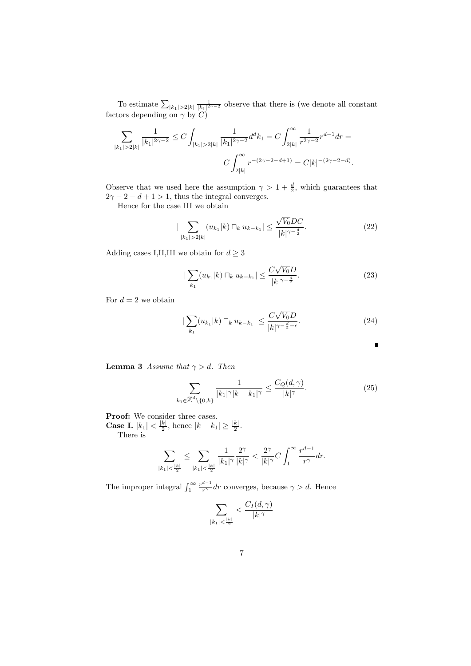To estimate  $\sum_{|k_1| > 2|k|} \frac{1}{|k_1|^{2\gamma-2}}$  observe that there is (we denote all constant factors depending on  $\gamma$  by  $C$ )

$$
\sum_{|k_1|>2|k|}\frac{1}{|k_1|^{2\gamma-2}}\leq C\int_{|k_1|>2|k|}\frac{1}{|k_1|^{2\gamma-2}}d^dk_1=C\int_{2|k|}^{\infty}\frac{1}{r^{2\gamma-2}}r^{d-1}dr=\\ C\int_{2|k|}^{\infty}r^{-(2\gamma-2-d+1)}=C|k|^{-(2\gamma-2-d)}.
$$

Observe that we used here the assumption  $\gamma > 1 + \frac{d}{2}$ , which guarantees that  $2\gamma - 2 - d + 1 > 1$ , thus the integral converges.

Hence for the case III we obtain

$$
|\sum_{|k_1|>2|k|}(u_{k_1}|k)\sqcap_k u_{k-k_1}| \leq \frac{\sqrt{V_0}DC}{|k|^{\gamma-\frac{d}{2}}}.\tag{22}
$$

Adding cases I,II,III we obtain for  $d \geq 3$ 

$$
|\sum_{k_1} (u_{k_1}|k) \sqcap_k u_{k-k_1}| \le \frac{C\sqrt{V_0}D}{|k|^{\gamma - \frac{d}{2}}}.
$$
\n(23)

For  $d=2$  we obtain

$$
|\sum_{k_1} (u_{k_1}|k) \sqcap_k u_{k-k_1}| \leq \frac{C\sqrt{V_0}D}{|k|^{\gamma - \frac{d}{2} - \epsilon}}.\tag{24}
$$

$$
\color{red}\blacksquare
$$

**Lemma 3** *Assume that*  $\gamma > d$ *. Then* 

$$
\sum_{k_1 \in \mathbb{Z}^d \setminus \{0,k\}} \frac{1}{|k_1|^\gamma |k - k_1|^\gamma} \le \frac{C_Q(d,\gamma)}{|k|^\gamma}.
$$
 (25)

**Proof:** We consider three cases.

**Case I.**  $|k_1| < \frac{|k|}{2}$  $\frac{k}{2}$ , hence  $|k - k_1| \ge \frac{|k|}{2}$ . There is

$$
\sum_{|k_1| < \frac{|k|}{2}} \leq \sum_{|k_1| < \frac{|k|}{2}} \frac{1}{|k_1|^{\gamma}} \frac{2^{\gamma}}{|k|^{\gamma}} < \frac{2^{\gamma}}{|k|^{\gamma}} C \int_1^{\infty} \frac{r^{d-1}}{r^{\gamma}} dr.
$$

The improper integral  $\int_1^\infty \frac{r^{d-1}}{r^{\gamma}}$  $\frac{d}{dr} dr$  converges, because  $\gamma > d$ . Hence

$$
\sum_{|k_1| < \frac{|k|}{2}} < \frac{C_I(d, \gamma)}{|k|^\gamma}
$$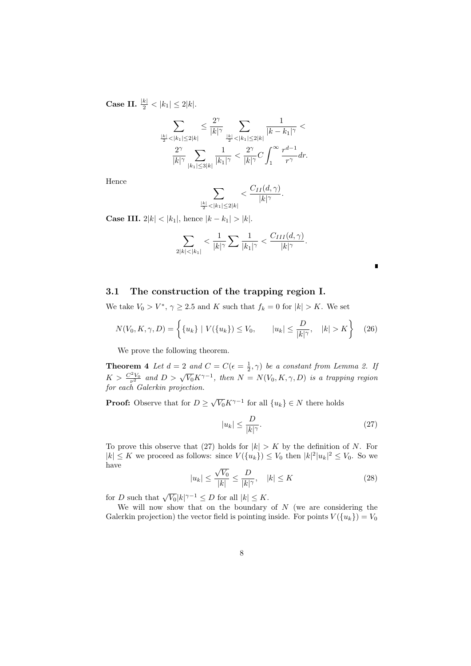**Case II.**  $\frac{|k|}{2} < |k_1| \leq 2|k|$ .

$$
\sum_{\frac{|k|}{2} < |k_1| \leq 2|k|} \leq \frac{2^{\gamma}}{|k|^{\gamma}} \sum_{\frac{|k|}{2} < |k_1| \leq 2|k|} \frac{1}{|k - k_1|^{\gamma}} < \\ \frac{2^{\gamma}}{|k|^{\gamma}} \sum_{|k_1| \leq 3|k|} \frac{1}{|k_1|^{\gamma}} < \frac{2^{\gamma}}{|k|^{\gamma}} C \int_1^{\infty} \frac{r^{d-1}}{r^{\gamma}} dr.
$$

Hence

$$
\sum_{\frac{|k|}{2} < |k_1| \leq 2|k|} < \frac{C_{II}(d,\gamma)}{|k|^\gamma}.
$$

**Case III.**  $2|k| < |k_1|$ , hence  $|k - k_1| > |k|$ .

$$
\sum_{2|k|<|k_1|} < \frac{1}{|k|^\gamma} \sum \frac{1}{|k_1|^\gamma} < \frac{C_{III}(d,\gamma)}{|k|^\gamma}.
$$

### **3.1 The construction of the trapping region I.**

We take  $V_0 > V^*$ ,  $\gamma \geq 2.5$  and *K* such that  $f_k = 0$  for  $|k| > K$ . We set

$$
N(V_0, K, \gamma, D) = \left\{ \{u_k\} \mid V(\{u_k\}) \le V_0, \qquad |u_k| \le \frac{D}{|k|^\gamma}, \quad |k| > K \right\} \tag{26}
$$

We prove the following theorem.

**Theorem 4** *Let*  $d = 2$  *and*  $C = C(\epsilon = \frac{1}{2}, \gamma)$  *be a constant from Lemma 2. If*  $K > \frac{C^2 V_0}{\nu^2}$  and  $D > \sqrt{V_0} K^{\gamma - 1}$ , then  $N = N(V_0, K, \gamma, D)$  is a trapping region *for each Galerkin projection.*

**Proof:** Observe that for  $D \ge \sqrt{V_0} K^{\gamma-1}$  for all  $\{u_k\} \in N$  there holds

$$
|u_k| \le \frac{D}{|k|^\gamma}.\tag{27}
$$

П

To prove this observe that (27) holds for  $|k| > K$  by the definition of *N*. For  $|k| \leq K$  we proceed as follows: since  $V({u_k}) \leq V_0$  then  $|k|^2 |u_k|^2 \leq V_0$ . So we have *√*

$$
|u_k| \le \frac{\sqrt{V_0}}{|k|} \le \frac{D}{|k|^\gamma}, \quad |k| \le K \tag{28}
$$

for *D* such that  $\sqrt{V_0}$  $|k|^{\gamma-1} \le D$  for all  $|k| \le K$ .

We will now show that on the boundary of *N* (we are considering the Galerkin projection) the vector field is pointing inside. For points  $V(\lbrace u_k \rbrace) = V_0$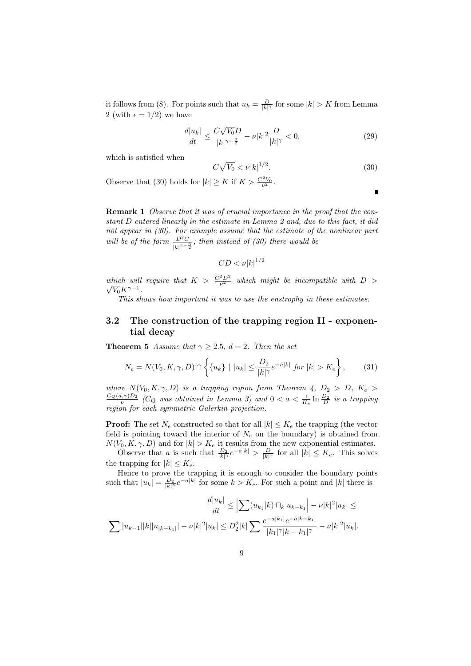it follows from (8). For points such that  $u_k = \frac{D}{|k|^\gamma}$  for some  $|k| > K$  from Lemma 2 (with  $\epsilon = 1/2$ ) we have

$$
\frac{d|u_k|}{dt} \le \frac{C\sqrt{V_0}D}{|k|^{\gamma-\frac{3}{2}}} - \nu|k|^2 \frac{D}{|k|^\gamma} < 0,
$$
\n(29)

which is satisfied when

$$
C\sqrt{V_0} < \nu |k|^{1/2}.\tag{30}
$$

Observe that (30) holds for  $|k| \ge K$  if  $K > \frac{C^2 V_0}{\nu^2}$ .

П

**Remark 1** *Observe that it was of crucial importance in the proof that the constant D entered linearly in the estimate in Lemma 2 and, due to this fact, it did not appear in (30). For example assume that the estimate of the nonlinear part will be of the form*  $\frac{D^2C}{|k|^{\gamma-\frac{3}{2}}};$  then instead of (30) there would be

$$
CD < \nu |k|^{1/2}
$$

*which will require that*  $K > \frac{C^2 D^2}{\nu^2}$  *which might be incompatible with*  $D > \sqrt{\frac{C}{\lambda}}$  $\sqrt{V_0}K^{\gamma-1}$ .

*This shows how important it was to use the enstrophy in these estimates.*

### **3.2 The construction of the trapping region II - exponential decay**

**Theorem 5** *Assume that*  $\gamma \geq 2.5$ *,*  $d = 2$ *. Then the set* 

$$
N_e = N(V_0, K, \gamma, D) \cap \left\{ \{ u_k \} \mid |u_k| \le \frac{D_2}{|k|^\gamma} e^{-a|k|} \text{ for } |k| > K_e \right\},\tag{31}
$$

where  $N(V_0, K, \gamma, D)$  is a trapping region from Theorem 4,  $D_2 > D$ ,  $K_e > C_Q(d, \gamma)D_2$  ( $C_Q$  was obtained in Lemma 3) and  $0 < a < \frac{1}{K_e} \ln \frac{D_2}{D}$  is a trapping *region for each symmetric Galerkin projection.*

**Proof:** The set  $N_e$  constructed so that for all  $|k| \leq K_e$  the trapping (the vector field is pointing toward the interior of  $N_e$  on the boundary) is obtained from  $N(V_0, K, \gamma, D)$  and for  $|k| > K_e$  it results from the new exponential estimates.

Observe that a is such that  $\frac{D_2}{|k|^\gamma}e^{-a|k|} > \frac{D}{|k|^\gamma}$  for all  $|k| \leq K_e$ . This solves the trapping for  $|k| \leq K_e$ .

Hence to prove the trapping it is enough to consider the boundary points such that  $|u_k| = \frac{D_2}{|k|^\gamma} e^{-a|k|}$  for some  $k > K_e$ . For such a point and  $|k|$  there is

$$
\frac{d|u_k|}{dt} \le \left| \sum (u_{k_1}|k) \sqcap_k u_{k-k_1} \right| - \nu |k|^2 |u_k| \le
$$
  

$$
\sum |u_{k-1}||k||u_{|k-k_1|} - \nu |k|^2 |u_k| \le D_2^2 |k| \sum \frac{e^{-a|k_1|}e^{-a|k-k_1|}}{|k_1|^\gamma |k-k_1|^\gamma} - \nu |k|^2 |u_k|.
$$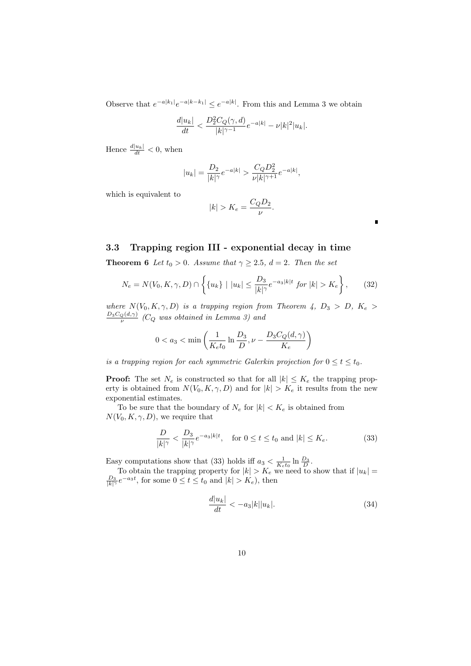Observe that  $e^{-a|k_1|}e^{-a|k-k_1|} \leq e^{-a|k|}$ . From this and Lemma 3 we obtain

$$
\frac{d|u_k|}{dt} < \frac{D_2^2 C_Q(\gamma, d)}{|k|^{\gamma - 1}} e^{-a|k|} - \nu |k|^2 |u_k|.
$$

Hence  $\frac{d|u_k|}{dt} < 0$ , when

$$
|u_k| = \frac{D_2}{|k|^\gamma} e^{-a|k|} > \frac{C_Q D_2^2}{\nu |k|^{\gamma + 1}} e^{-a|k|},
$$

which is equivalent to

$$
|k| > K_e = \frac{C_Q D_2}{\nu}.
$$

 $\blacksquare$ 

### **3.3 Trapping region III - exponential decay in time**

**Theorem 6** *Let*  $t_0 > 0$ *. Assume that*  $\gamma \geq 2.5$ *,*  $d = 2$ *. Then the set* 

$$
N_e = N(V_0, K, \gamma, D) \cap \left\{ \{u_k\} \mid |u_k| \le \frac{D_3}{|k|^\gamma} e^{-a_3|k|t} \text{ for } |k| > K_e \right\},\qquad(32)
$$

*where*  $N(V_0, K, \gamma, D)$  *is a trapping region from Theorem 4,*  $D_3 > D$ ,  $K_e >$  $\frac{D_3C_Q(d,\gamma)}{\nu}$  (*CQ* was obtained in Lemma 3) and

$$
0
$$

*is a trapping region for each symmetric Galerkin projection for*  $0 \le t \le t_0$ .

**Proof:** The set  $N_e$  is constructed so that for all  $|k| \leq K_e$  the trapping property is obtained from  $N(V_0, K, \gamma, D)$  and for  $|k| > K_e$  it results from the new exponential estimates.

To be sure that the boundary of  $N_e$  for  $|k| < K_e$  is obtained from  $N(V_0, K, \gamma, D)$ , we require that

$$
\frac{D}{|k|^\gamma} < \frac{D_3}{|k|^\gamma} e^{-a_3|k|t}, \quad \text{for } 0 \le t \le t_0 \text{ and } |k| \le K_e. \tag{33}
$$

Easy computations show that (33) holds iff  $a_3 < \frac{1}{K_e t_0} \ln \frac{D_3}{D}$ .

To obtain the trapping property for  $|k| > K_e$  we need to show that if  $|u_k| = \frac{D_3}{|k|^\gamma} e^{-a_3 t}$ , for some  $0 \le t \le t_0$  and  $|k| > K_e$ ), then

$$
\frac{d|u_k|}{dt} < -a_3|k||u_k|.\tag{34}
$$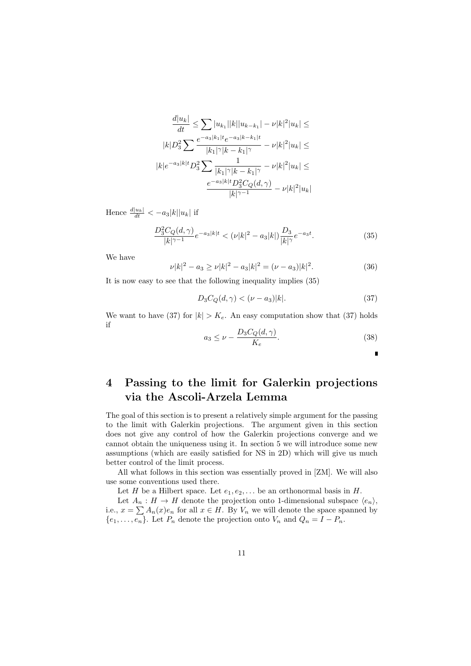$$
\frac{d|u_k|}{dt} \leq \sum |u_{k_1}||k||u_{k-k_1}| - \nu|k|^2|u_k| \leq
$$
  
\n
$$
|k|D_3^2 \sum \frac{e^{-a_3|k_1|t}e^{-a_3|k-k_1|t}}{|k_1|^\gamma|k-k_1|^\gamma} - \nu|k|^2|u_k| \leq
$$
  
\n
$$
|k|e^{-a_3|k|t}D_3^2 \sum \frac{1}{|k_1|^\gamma|k-k_1|^\gamma} - \nu|k|^2|u_k| \leq
$$
  
\n
$$
\frac{e^{-a_3|k|t}D_3^2C_Q(d,\gamma)}{|k|^{\gamma-1}} - \nu|k|^2|u_k|
$$

Hence  $\frac{d|u_k|}{dt} < -a_3|k||u_k|$  if

$$
\frac{D_3^2 C_Q(d,\gamma)}{|k|^{\gamma - 1}} e^{-a_3|k|t} < (\nu |k|^2 - a_3 |k|) \frac{D_3}{|k|^\gamma} e^{-a_3 t}.\tag{35}
$$

We have

$$
\nu |k|^2 - a_3 \ge \nu |k|^2 - a_3 |k|^2 = (\nu - a_3)|k|^2. \tag{36}
$$

It is now easy to see that the following inequality implies (35)

$$
D_3 C_Q(d, \gamma) < (\nu - a_3)|k|.\tag{37}
$$

We want to have (37) for  $|k| > K_e$ . An easy computation show that (37) holds if

$$
a_3 \le \nu - \frac{D_3 C_Q(d, \gamma)}{K_e}.\tag{38}
$$

ī

# **4 Passing to the limit for Galerkin projections via the Ascoli-Arzela Lemma**

The goal of this section is to present a relatively simple argument for the passing to the limit with Galerkin projections. The argument given in this section does not give any control of how the Galerkin projections converge and we cannot obtain the uniqueness using it. In section 5 we will introduce some new assumptions (which are easily satisfied for NS in 2D) which will give us much better control of the limit process.

All what follows in this section was essentially proved in [ZM]. We will also use some conventions used there.

Let *H* be a Hilbert space. Let  $e_1, e_2, \ldots$  be an orthonormal basis in *H*.

Let  $A_n : H \to H$  denote the projection onto 1-dimensional subspace  $\langle e_n \rangle$ , i.e.,  $x = \sum A_n(x)e_n$  for all  $x \in H$ . By  $V_n$  we will denote the space spanned by  ${e_1, \ldots, e_n}$ . Let  $P_n$  denote the projection onto  $V_n$  and  $Q_n = I - P_n$ .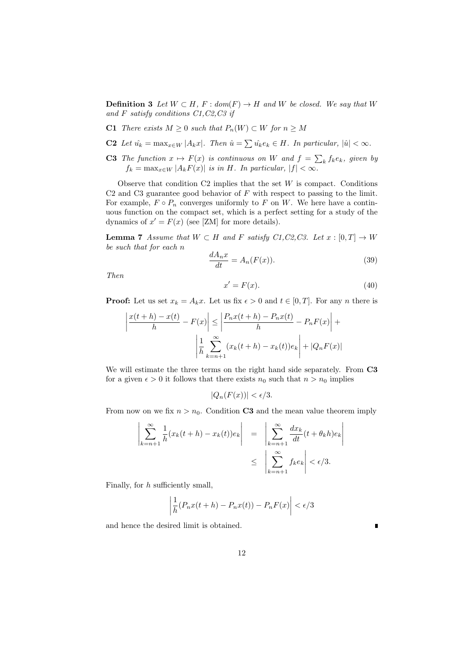**Definition 3** *Let*  $W \subset H$ *,*  $F: dom(F) \to H$  *and*  $W$  *be closed. We say that*  $W$ *and F satisfy conditions C1,C2,C3 if*

- **C1** *There exists*  $M \geq 0$  *such that*  $P_n(W) \subset W$  *for*  $n \geq M$
- **C2** Let  $\hat{u_k} = \max_{x \in W} |A_k x|$ . Then  $\hat{u} = \sum \hat{u_k} e_k \in H$ . In particular,  $|\hat{u}| < \infty$ .
- **C3** The function  $x \mapsto F(x)$  is continuous on W and  $f = \sum_{k} f_k e_k$ , given by  $f_k = \max_{x \in W} |A_k F(x)|$  *is in H. In particular,*  $|f| < \infty$ *.*

Observe that condition C2 implies that the set *W* is compact. Conditions C2 and C3 guarantee good behavior of *F* with respect to passing to the limit. For example,  $F \circ P_n$  converges uniformly to  $F$  on  $W$ . We here have a continuous function on the compact set, which is a perfect setting for a study of the dynamics of  $x' = F(x)$  (see [ZM] for more details).

**Lemma 7** *Assume that*  $W \subset H$  *and F satisfy C1,C2,C3. Let*  $x : [0, T] \to W$ *be such that for each n*

$$
\frac{dA_nx}{dt} = A_n(F(x)).\tag{39}
$$

*Then*

$$
x' = F(x). \tag{40}
$$

**Proof:** Let us set  $x_k = A_k x$ . Let us fix  $\epsilon > 0$  and  $t \in [0, T]$ . For any *n* there is

$$
\left|\frac{x(t+h)-x(t)}{h}-F(x)\right| \le \left|\frac{P_n x(t+h)-P_n x(t)}{h}-P_n F(x)\right| +
$$

$$
\left|\frac{1}{h}\sum_{k=n+1}^{\infty} (x_k(t+h)-x_k(t))e_k\right| + |Q_n F(x)|
$$

We will estimate the three terms on the right hand side separately. From **C3** for a given  $\epsilon > 0$  it follows that there exists  $n_0$  such that  $n > n_0$  implies

$$
|Q_n(F(x))| < \epsilon/3.
$$

From now on we fix  $n > n_0$ . Condition **C3** and the mean value theorem imply

$$
\left| \sum_{k=n+1}^{\infty} \frac{1}{h} (x_k(t+h) - x_k(t)) e_k \right| = \left| \sum_{k=n+1}^{\infty} \frac{dx_k}{dt} (t + \theta_k h) e_k \right|
$$
  

$$
\leq \left| \sum_{k=n+1}^{\infty} f_k e_k \right| < \epsilon/3.
$$

Finally, for *h* sufficiently small,

$$
\left|\frac{1}{h}(P_nx(t+h)-P_nx(t))-P_nF(x)\right|<\epsilon/3
$$

and hence the desired limit is obtained.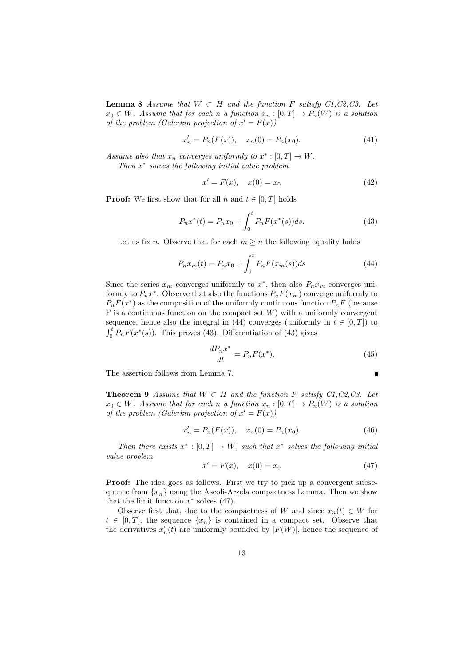**Lemma 8** *Assume that*  $W ⊂ H$  *and the function*  $F$  *satisfy C1,C2,C3.* Let  $x_0 \in W$ *. Assume that for each n a function*  $x_n : [0, T] \to P_n(W)$  *is a solution of the problem (Galerkin projection of*  $x' = F(x)$ )

$$
x'_n = P_n(F(x)), \quad x_n(0) = P_n(x_0). \tag{41}
$$

*Assume also that*  $x_n$  *converges uniformly to*  $x^* : [0, T] \to W$ *. Then x ∗ solves the following initial value problem*

$$
x' = F(x), \quad x(0) = x_0 \tag{42}
$$

**Proof:** We first show that for all *n* and  $t \in [0, T]$  holds

$$
P_n x^*(t) = P_n x_0 + \int_0^t P_n F(x^*(s)) ds.
$$
 (43)

Let us fix *n*. Observe that for each  $m \geq n$  the following equality holds

$$
P_n x_m(t) = P_n x_0 + \int_0^t P_n F(x_m(s)) ds
$$
\n(44)

Since the series  $x_m$  converges uniformly to  $x^*$ , then also  $P_n x_m$  converges uniformly to  $P_n x^*$ . Observe that also the functions  $P_n F(x_m)$  converge uniformly to  $P_nF(x^*)$  as the composition of the uniformly continuous function  $P_nF$  (because F is a continuous function on the compact set *W*) with a uniformly convergent sequence, hence also the integral in  $(44)$  converges (uniformly in  $t \in [0, T]$ ) to  $\int_0^t P_n F(x^*(s))$ . This proves (43). Differentiation of (43) gives

$$
\frac{dP_n x^*}{dt} = P_n F(x^*). \tag{45}
$$

п

The assertion follows from Lemma 7.

**Theorem 9** Assume that 
$$
W \subset H
$$
 and the function F satisfy C1, C2, C3. Let  $x_0 \in W$ . Assume that for each n a function  $x_n : [0, T] \to P_n(W)$  is a solution of the problem (Galerkin projection of  $x' = F(x)$ )

$$
x'_n = P_n(F(x)), \quad x_n(0) = P_n(x_0). \tag{46}
$$

*Then there exists*  $x^* : [0, T] \to W$ *, such that*  $x^*$  *solves the following initial value problem*

$$
x' = F(x), \quad x(0) = x_0 \tag{47}
$$

**Proof:** The idea goes as follows. First we try to pick up a convergent subsequence from  $\{x_n\}$  using the Ascoli-Arzela compactness Lemma. Then we show that the limit function  $x^*$  solves  $(47)$ .

Observe first that, due to the compactness of *W* and since  $x_n(t) \in W$  for  $t \in [0, T]$ , the sequence  $\{x_n\}$  is contained in a compact set. Observe that the derivatives  $x'_n(t)$  are uniformly bounded by  $|F(W)|$ , hence the sequence of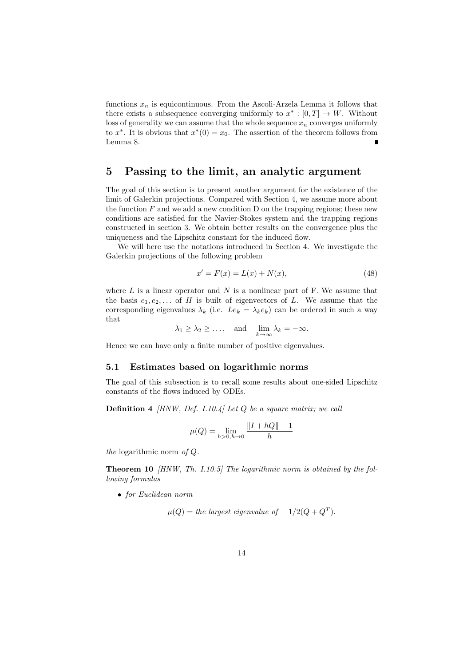functions  $x_n$  is equicontinuous. From the Ascoli-Arzela Lemma it follows that there exists a subsequence converging uniformly to  $x^* : [0, T] \to W$ . Without loss of generality we can assume that the whole sequence  $x_n$  converges uniformly to  $x^*$ . It is obvious that  $x^*(0) = x_0$ . The assertion of the theorem follows from Lemma 8.

# **5 Passing to the limit, an analytic argument**

The goal of this section is to present another argument for the existence of the limit of Galerkin projections. Compared with Section 4, we assume more about the function *F* and we add a new condition D on the trapping regions; these new conditions are satisfied for the Navier-Stokes system and the trapping regions constructed in section 3. We obtain better results on the convergence plus the uniqueness and the Lipschitz constant for the induced flow.

We will here use the notations introduced in Section 4. We investigate the Galerkin projections of the following problem

$$
x' = F(x) = L(x) + N(x),
$$
\n(48)

where *L* is a linear operator and *N* is a nonlinear part of F. We assume that the basis  $e_1, e_2, \ldots$  of *H* is built of eigenvectors of *L*. We assume that the corresponding eigenvalues  $\lambda_k$  (i.e.  $Le_k = \lambda_k e_k$ ) can be ordered in such a way that

$$
\lambda_1 \geq \lambda_2 \geq \ldots
$$
, and  $\lim_{k \to \infty} \lambda_k = -\infty$ .

Hence we can have only a finite number of positive eigenvalues.

#### **5.1 Estimates based on logarithmic norms**

The goal of this subsection is to recall some results about one-sided Lipschitz constants of the flows induced by ODEs.

**Definition 4** *[HNW, Def. I.10.4] Let Q be a square matrix; we call*

$$
\mu(Q) = \lim_{h > 0, h \to 0} \frac{\|I + hQ\| - 1}{h}
$$

*the* logarithmic norm *of Q.*

**Theorem 10** *[HNW, Th. I.10.5] The logarithmic norm is obtained by the following formulas*

*• for Euclidean norm*

 $\mu(Q) =$  *the largest eigenvalue of*  $1/2(Q + Q^T)$ *.*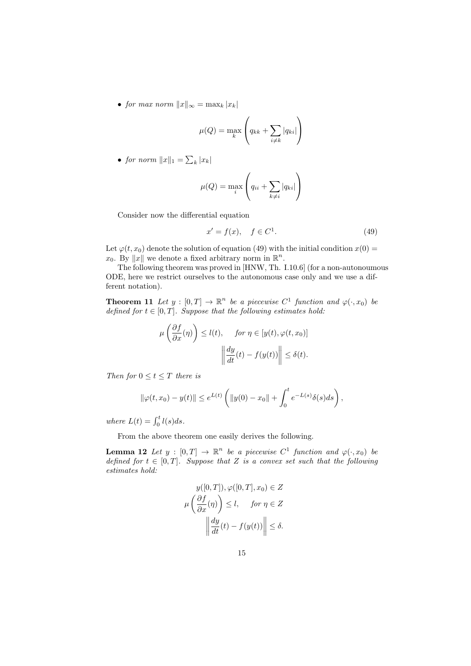*• for max norm ∥x∥<sup>∞</sup>* = max*<sup>k</sup> |xk|*

$$
\mu(Q) = \max_{k} \left( q_{kk} + \sum_{i \neq k} |q_{ki}| \right)
$$

• *for norm*  $||x||_1 = \sum_k |x_k|$ 

$$
\mu(Q) = \max_{i} \left( q_{ii} + \sum_{k \neq i} |q_{ki}| \right)
$$

Consider now the differential equation

$$
x' = f(x), \quad f \in C^1. \tag{49}
$$

Let  $\varphi(t, x_0)$  denote the solution of equation (49) with the initial condition  $x(0)$  = *x*<sub>0</sub>. By  $||x||$  we denote a fixed arbitrary norm in  $\mathbb{R}^n$ .

The following theorem was proved in [HNW, Th. I.10.6] (for a non-autonoumous ODE, here we restrict ourselves to the autonomous case only and we use a different notation).

**Theorem 11** *Let*  $y : [0, T] \to \mathbb{R}^n$  *be a piecewise*  $C^1$  *function and*  $\varphi(\cdot, x_0)$  *be defined for*  $t \in [0, T]$ *. Suppose that the following estimates hold:* 

$$
\mu\left(\frac{\partial f}{\partial x}(\eta)\right) \le l(t), \quad \text{for } \eta \in [y(t), \varphi(t, x_0)]
$$

$$
\left\|\frac{dy}{dt}(t) - f(y(t))\right\| \le \delta(t).
$$

*Then for*  $0 \le t \le T$  *there is* 

$$
\|\varphi(t,x_0)-y(t)\| \le e^{L(t)} \left( \|y(0)-x_0\| + \int_0^t e^{-L(s)} \delta(s) ds \right),
$$

*where*  $L(t) = \int_0^t l(s)ds$ .

From the above theorem one easily derives the following.

**Lemma 12** *Let*  $y : [0, T] \rightarrow \mathbb{R}^n$  *be a piecewise*  $C^1$  *function and*  $\varphi(\cdot, x_0)$  *be defined for*  $t \in [0, T]$ *. Suppose that Z is a convex set such that the following estimates hold:*

$$
y([0, T]), \varphi([0, T], x_0) \in Z
$$
  

$$
\mu\left(\frac{\partial f}{\partial x}(\eta)\right) \le l, \quad \text{for } \eta \in Z
$$
  

$$
\left\|\frac{dy}{dt}(t) - f(y(t))\right\| \le \delta.
$$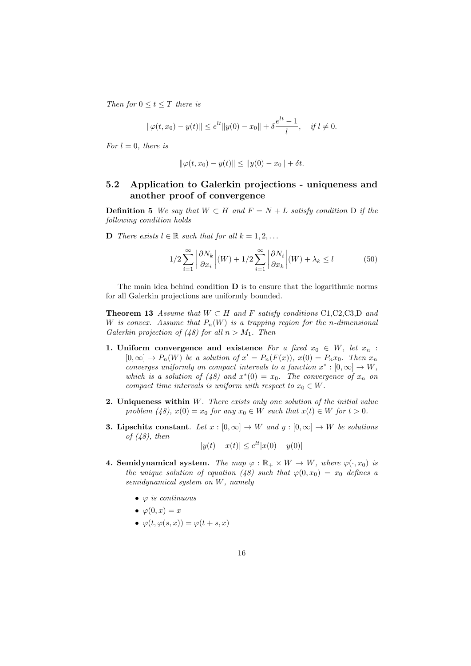*Then for*  $0 \le t \le T$  *there is* 

$$
\|\varphi(t, x_0) - y(t)\| \le e^{lt} \|y(0) - x_0\| + \delta \frac{e^{lt} - 1}{l}, \quad \text{if } l \ne 0.
$$

*For*  $l = 0$ *, there is* 

$$
\|\varphi(t, x_0) - y(t)\| \le \|y(0) - x_0\| + \delta t.
$$

### **5.2 Application to Galerkin projections - uniqueness and another proof of convergence**

**Definition 5** *We say that*  $W \subset H$  *and*  $F = N + L$  *satisfy condition* D *if the following condition holds*

**D** *There exists*  $l \in \mathbb{R}$  *such that for all*  $k = 1, 2, \ldots$ 

$$
1/2\sum_{i=1}^{\infty} \left| \frac{\partial N_k}{\partial x_i} \right| (W) + 1/2 \sum_{i=1}^{\infty} \left| \frac{\partial N_i}{\partial x_k} \right| (W) + \lambda_k \le l \tag{50}
$$

The main idea behind condition **D** is to ensure that the logarithmic norms for all Galerkin projections are uniformly bounded.

**Theorem 13** *Assume that*  $W \subset H$  *and*  $F$  *satisfy conditions* C1,C2,C3,D *and W is convex.* Assume that  $P_n(W)$  *is a trapping region for the n-dimensional Galerkin projection of (48) for all*  $n > M_1$ *. Then* 

- **1. Uniform convergence and existence** *For a fixed*  $x_0 \in W$ *, let*  $x_n$ :  $[0, \infty] \to P_n(W)$  be a solution of  $x' = P_n(F(x))$ ,  $x(0) = P_n x_0$ . Then  $x_n$ *converges uniformly on compact intervals to a function*  $x^* : [0, \infty] \to W$ , *which is a solution of* (48) and  $x^*(0) = x_0$ . The convergence of  $x_n$  on *compact time intervals is uniform with respect to*  $x_0 \in W$ *.*
- **2. Uniqueness within** *W. There exists only one solution of the initial value problem*  $(48)$ ,  $x(0) = x_0$  *for any*  $x_0 \in W$  *such that*  $x(t) \in W$  *for*  $t > 0$ *.*
- **3. Lipschitz constant***. Let*  $x : [0, \infty] \to W$  *and*  $y : [0, \infty] \to W$  *be solutions of (48), then*

$$
|y(t) - x(t)| \le e^{lt} |x(0) - y(0)|
$$

- **4. Semidynamical system.** *The map*  $\varphi : \mathbb{R}_+ \times W \to W$ *, where*  $\varphi(\cdot, x_0)$  *is the unique solution of equation (48) such that*  $\varphi(0, x_0) = x_0$  *defines a semidynamical system on W, namely*
	- *• φ is continuous*
	- $\varphi(0, x) = x$
	- $\varphi(t, \varphi(s, x)) = \varphi(t + s, x)$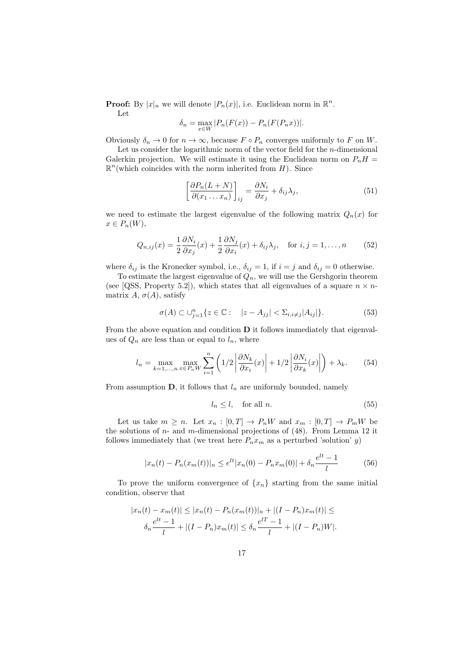**Proof:** By  $|x|_n$  we will denote  $|P_n(x)|$ , i.e. Euclidean norm in  $\mathbb{R}^n$ . Let

$$
\delta_n = \max_{x \in W} |P_n(F(x)) - P_n(F(P_n x))|.
$$

Obviously  $\delta_n \to 0$  for  $n \to \infty$ , because  $F \circ P_n$  converges uniformly to F on W.

Let us consider the logarithmic norm of the vector field for the *n*-dimensional Galerkin projection. We will estimate it using the Euclidean norm on  $P_nH =$  $\mathbb{R}^n$  (which coincides with the norm inherited from *H*). Since

$$
\left[\frac{\partial P_n(L+N)}{\partial(x_1\ldots x_n)}\right]_{ij} = \frac{\partial N_i}{\partial x_j} + \delta_{ij}\lambda_j,
$$
\n(51)

we need to estimate the largest eigenvalue of the following matrix  $Q_n(x)$  for  $x \in P_n(W)$ ,

$$
Q_{n,ij}(x) = \frac{1}{2} \frac{\partial N_i}{\partial x_j}(x) + \frac{1}{2} \frac{\partial N_j}{\partial x_i}(x) + \delta_{ij} \lambda_j, \quad \text{for } i, j = 1, \dots, n \tag{52}
$$

where  $\delta_{ij}$  is the Kronecker symbol, i.e.,  $\delta_{ij} = 1$ , if  $i = j$  and  $\delta_{ij} = 0$  otherwise.

To estimate the largest eigenvalue of  $\ddot{Q}_n$ , we will use the Gershgorin theorem (see [QSS, Property 5.2]), which states that all eigenvalues of a square  $n \times n$ matrix  $A$ ,  $\sigma(A)$ , satisfy

$$
\sigma(A) \subset \bigcup_{j=1}^{n} \{ z \in \mathbb{C} : \quad |z - A_{jj}| < \Sigma_{i,i \neq j} |A_{ij}| \}. \tag{53}
$$

From the above equation and condition **D** it follows immediately that eigenvalues of  $Q_n$  are less than or equal to  $l_n$ , where

$$
l_n = \max_{k=1,\dots,n} \max_{x \in P_n W} \sum_{i=1}^n \left( 1/2 \left| \frac{\partial N_k}{\partial x_i}(x) \right| + 1/2 \left| \frac{\partial N_i}{\partial x_k}(x) \right| \right) + \lambda_k. \tag{54}
$$

From assumption  $D$ , it follows that  $l_n$  are uniformly bounded, namely

$$
l_n \le l, \quad \text{for all } n. \tag{55}
$$

Let us take  $m \geq n$ . Let  $x_n : [0, T] \to P_n W$  and  $x_m : [0, T] \to P_m W$  be the solutions of *n*- and *m*-dimensional projections of (48). From Lemma 12 it follows immediately that (we treat here  $P_n x_m$  as a perturbed 'solution' *y*)

$$
|x_n(t) - P_n(x_m(t))|_n \le e^{lt} |x_n(0) - P_n x_m(0)| + \delta_n \frac{e^{lt} - 1}{l}
$$
 (56)

To prove the uniform convergence of  $\{x_n\}$  starting from the same initial condition, observe that

$$
|x_n(t) - x_m(t)| \le |x_n(t) - P_n(x_m(t))|_n + |(I - P_n)x_m(t)| \le
$$
  

$$
\delta_n \frac{e^{lt} - 1}{l} + |(I - P_n)x_m(t)| \le \delta_n \frac{e^{lT} - 1}{l} + |(I - P_n)W|.
$$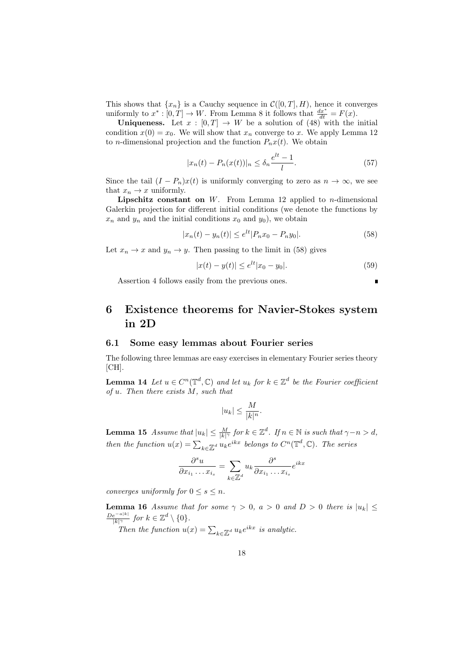This shows that  $\{x_n\}$  is a Cauchy sequence in  $\mathcal{C}([0,T],H)$ , hence it converges uniformly to  $x^* : [0, T] \to W$ . From Lemma 8 it follows that  $\frac{dx^*}{dt} = F(x)$ .

**Uniqueness.** Let  $x : [0, T] \rightarrow W$  be a solution of  $(48)$  with the initial condition  $x(0) = x_0$ . We will show that  $x_n$  converge to *x*. We apply Lemma 12 to *n*-dimensional projection and the function  $P_n x(t)$ . We obtain

$$
|x_n(t) - P_n(x(t))|_n \le \delta_n \frac{e^{lt} - 1}{l}.\tag{57}
$$

Since the tail  $(I - P_n)x(t)$  is uniformly converging to zero as  $n \to \infty$ , we see that  $x_n \to x$  uniformly.

**Lipschitz constant on** *W*. From Lemma 12 applied to *n*-dimensional Galerkin projection for different initial conditions (we denote the functions by  $x_n$  and  $y_n$  and the initial conditions  $x_0$  and  $y_0$ ), we obtain

$$
|x_n(t) - y_n(t)| \le e^{lt} |P_n x_0 - P_n y_0|.
$$
\n(58)

Let  $x_n \to x$  and  $y_n \to y$ . Then passing to the limit in (58) gives

$$
|x(t) - y(t)| \le e^{lt} |x_0 - y_0|.
$$
\n(59)

Assertion 4 follows easily from the previous ones.

$$
\mathcal{L}_{\mathcal{A}}
$$

# **6 Existence theorems for Navier-Stokes system in 2D**

#### **6.1 Some easy lemmas about Fourier series**

The following three lemmas are easy exercises in elementary Fourier series theory  $[CH]$ .

**Lemma 14** *Let*  $u \in C^n(\mathbb{T}^d, \mathbb{C})$  *and let*  $u_k$  *for*  $k \in \mathbb{Z}^d$  *be the Fourier coefficient of u. Then there exists M, such that*

$$
|u_k| \le \frac{M}{|k|^n}.
$$

**Lemma 15** Assume that  $|u_k| \leq \frac{M}{|k|^\gamma}$  for  $k \in \mathbb{Z}^d$ . If  $n \in \mathbb{N}$  is such that  $\gamma - n > d$ , *then the function*  $u(x) = \sum_{k \in \mathbb{Z}^d} u_k e^{ikx}$  *belongs to*  $C^n(\mathbb{T}^d, \mathbb{C})$ *. The series* 

$$
\frac{\partial^s u}{\partial x_{i_1} \dots x_{i_s}} = \sum_{k \in \mathbb{Z}^d} u_k \frac{\partial^s}{\partial x_{i_1} \dots x_{i_s}} e^{ikx}
$$

*converges uniformly for*  $0 \leq s \leq n$ *.* 

**Lemma 16** *Assume that for some*  $\gamma > 0$ ,  $a > 0$  *and*  $D > 0$  *there is*  $|u_k| \leq$  $\frac{De^{-a|k|}}{|k|^\gamma}$  *for*  $k \in \mathbb{Z}^d \setminus \{0\}$ *.* 

*Then the function*  $u(x) = \sum_{k \in \mathbb{Z}^d} u_k e^{ikx}$  *is analytic.*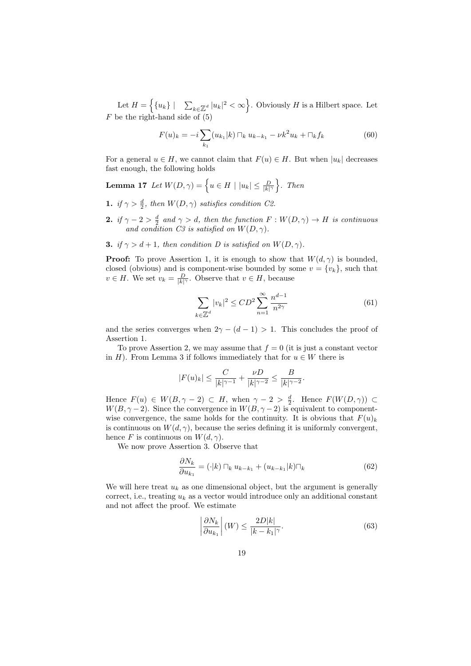Let  $H = \left\{ \{u_k\} \mid \sum_{k \in \mathbb{Z}^d} |u_k|^2 < \infty \right\}$ . Obviously *H* is a Hilbert space. Let *F* be the right-hand side of (5)

$$
F(u)_k = -i \sum_{k_1} (u_{k_1}|k) \sqcap_k u_{k-k_1} - \nu k^2 u_k + \sqcap_k f_k \tag{60}
$$

For a general  $u \in H$ , we cannot claim that  $F(u) \in H$ . But when  $|u_k|$  decreases fast enough, the following holds

- **Lemma 17** *Let*  $W(D, \gamma) = \left\{ u \in H \mid |u_k| \leq \frac{D}{|k|^\gamma} \right\}$ . Then
- **1.** *if*  $\gamma > \frac{d}{2}$ , *then*  $W(D, \gamma)$  *satisfies condition C2.*
- **2.** *if*  $\gamma 2 > \frac{d}{2}$  *and*  $\gamma > d$ *, then the function*  $F : W(D, \gamma) \to H$  *is continuous and condition C3 is satisfied on*  $W(D, \gamma)$ *.*
- **3.** *if*  $\gamma > d + 1$ *, then condition D is satisfied on*  $W(D, \gamma)$ *.*

**Proof:** To prove Assertion 1, it is enough to show that  $W(d, \gamma)$  is bounded. closed (obvious) and is component-wise bounded by some  $v = \{v_k\}$ , such that  $v \in H$ . We set  $v_k = \frac{D}{|k|^\gamma}$ . Observe that  $v \in H$ , because

$$
\sum_{k \in \mathbb{Z}^d} |v_k|^2 \le CD^2 \sum_{n=1}^{\infty} \frac{n^{d-1}}{n^{2\gamma}} \tag{61}
$$

and the series converges when  $2\gamma - (d-1) > 1$ . This concludes the proof of Assertion 1.

To prove Assertion 2, we may assume that  $f = 0$  (it is just a constant vector in *H*). From Lemma 3 if follows immediately that for  $u \in W$  there is

$$
|F(u)_k|\leq \frac{C}{|k|^{\gamma-1}}+\frac{\nu D}{|k|^{\gamma-2}}\leq \frac{B}{|k|^{\gamma-2}}.
$$

Hence  $F(u) \in W(B, \gamma - 2) \subset H$ , when  $\gamma - 2 > \frac{d}{2}$ . Hence  $F(W(D, \gamma)) \subset$  $W(B, \gamma - 2)$ . Since the convergence in  $W(B, \gamma - 2)$  is equivalent to componentwise convergence, the same holds for the continuity. It is obvious that  $F(u)_k$ is continuous on  $W(d, \gamma)$ , because the series defining it is uniformly convergent, hence *F* is continuous on  $W(d, \gamma)$ .

We now prove Assertion 3. Observe that

$$
\frac{\partial N_k}{\partial u_{k_1}} = (\cdot|k) \sqcap_k u_{k-k_1} + (u_{k-k_1}|k) \sqcap_k \tag{62}
$$

We will here treat  $u_k$  as one dimensional object, but the argument is generally correct, i.e., treating  $u_k$  as a vector would introduce only an additional constant and not affect the proof. We estimate

$$
\left|\frac{\partial N_k}{\partial u_{k_1}}\right|(W) \le \frac{2D|k|}{|k - k_1|^{\gamma}}.\tag{63}
$$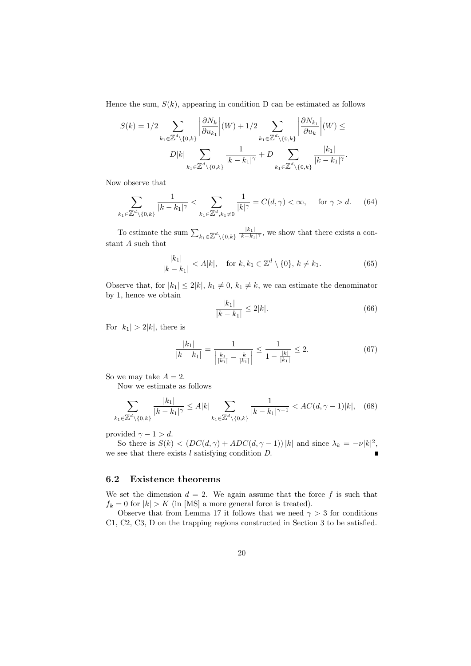Hence the sum,  $S(k)$ , appearing in condition D can be estimated as follows

$$
S(k) = 1/2 \sum_{k_1 \in \mathbb{Z}^d \backslash \{0,k\}} \left| \frac{\partial N_k}{\partial u_{k_1}} \right| (W) + 1/2 \sum_{k_1 \in \mathbb{Z}^d \backslash \{0,k\}} \left| \frac{\partial N_{k_1}}{\partial u_k} \right| (W) \le
$$
  

$$
D|k| \sum_{k_1 \in \mathbb{Z}^d \backslash \{0,k\}} \frac{1}{|k - k_1|^\gamma} + D \sum_{k_1 \in \mathbb{Z}^d \backslash \{0,k\}} \frac{|k_1|}{|k - k_1|^\gamma}.
$$

Now observe that

$$
\sum_{k_1 \in \mathbb{Z}^d \setminus \{0,k\}} \frac{1}{|k - k_1|^\gamma} < \sum_{k_1 \in \mathbb{Z}^d, k_1 \neq 0} \frac{1}{|k|^\gamma} = C(d, \gamma) < \infty, \quad \text{for } \gamma > d. \tag{64}
$$

To estimate the sum  $\sum_{k_1 \in \mathbb{Z}^d \setminus \{0,k\}}$ *|k*1*|*  $\frac{|k_1|}{|k - k_1|^\gamma}$ , we show that there exists a constant *A* such that

$$
\frac{|k_1|}{|k - k_1|} < A|k|, \quad \text{for } k, k_1 \in \mathbb{Z}^d \setminus \{0\}, \, k \neq k_1. \tag{65}
$$

Observe that, for  $|k_1| \leq 2|k|, k_1 \neq 0, k_1 \neq k$ , we can estimate the denominator by 1, hence we obtain

$$
\frac{|k_1|}{|k - k_1|} \le 2|k|.\tag{66}
$$

For  $|k_1| > 2|k|$ , there is

$$
\frac{|k_1|}{|k - k_1|} = \frac{1}{\left|\frac{k_1}{|k_1|} - \frac{k}{|k_1|}\right|} \le \frac{1}{1 - \frac{|k|}{|k_1|}} \le 2. \tag{67}
$$

So we may take  $A = 2$ .

Now we estimate as follows

$$
\sum_{k_1 \in \mathbb{Z}^d \setminus \{0,k\}} \frac{|k_1|}{|k - k_1|^\gamma} \le A|k| \sum_{k_1 \in \mathbb{Z}^d \setminus \{0,k\}} \frac{1}{|k - k_1|^{\gamma - 1}} < AC(d, \gamma - 1)|k|, \quad (68)
$$

provided  $\gamma - 1 > d$ .

So there is  $S(k) < (DC(d, \gamma) + ADC(d, \gamma - 1)) |k|$  and since  $\lambda_k = -\nu |k|^2$ , we see that there exists *l* satisfying condition *D*.

### **6.2 Existence theorems**

We set the dimension  $d = 2$ . We again assume that the force f is such that  $f_k = 0$  for  $|k| > K$  (in [MS] a more general force is treated).

Observe that from Lemma 17 it follows that we need  $\gamma > 3$  for conditions C1, C2, C3, D on the trapping regions constructed in Section 3 to be satisfied.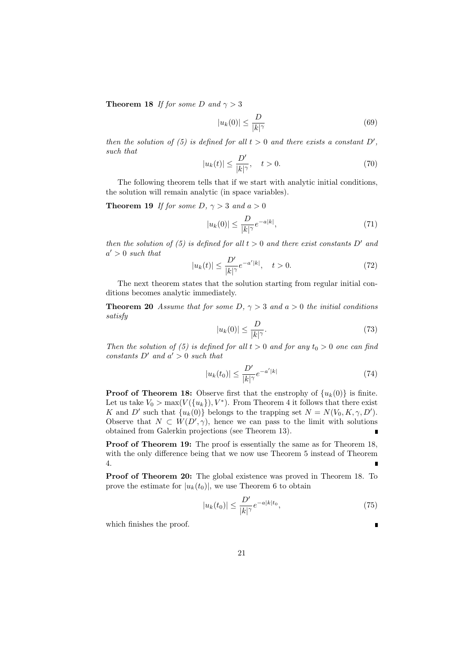**Theorem 18** *If for some D and*  $\gamma > 3$ 

$$
|u_k(0)| \le \frac{D}{|k|^\gamma} \tag{69}
$$

*then the solution of (5) is defined for all*  $t > 0$  *and there exists a constant*  $D'$ , *such that*

$$
|u_k(t)| \le \frac{D'}{|k|^\gamma}, \quad t > 0.
$$
\n
$$
(70)
$$

The following theorem tells that if we start with analytic initial conditions, the solution will remain analytic (in space variables).

**Theorem 19** *If for some D*,  $\gamma > 3$  *and*  $a > 0$ 

$$
|u_k(0)| \le \frac{D}{|k|^\gamma} e^{-a|k|},\tag{71}
$$

*then the solution of (5) is defined for all*  $t > 0$  *and there exist constants*  $D'$  *and a ′ >* 0 *such that*

$$
|u_k(t)| \le \frac{D'}{|k|^\gamma} e^{-a'|k|}, \quad t > 0.
$$
 (72)

The next theorem states that the solution starting from regular initial conditions becomes analytic immediately.

**Theorem 20** *Assume that for some D,*  $\gamma > 3$  *and*  $a > 0$  *the initial conditions satisfy*

$$
|u_k(0)| \le \frac{D}{|k|^\gamma}.\tag{73}
$$

*Then the solution of (5) is defined for all*  $t > 0$  *and for any*  $t_0 > 0$  *one can find constants D′ and a ′ >* 0 *such that*

$$
|u_k(t_0)| \le \frac{D'}{|k|^\gamma} e^{-a'|k|} \tag{74}
$$

**Proof of Theorem 18:** Observe first that the enstrophy of  $\{u_k(0)\}\$ is finite. Let us take  $V_0 > \max(V(\{u_k\}), V^*)$ . From Theorem 4 it follows that there exist *K* and *D<sup>'</sup>* such that  $\{u_k(0)\}$  belongs to the trapping set  $N = N(V_0, K, \gamma, D')$ . Observe that  $N \subset W(D', \gamma)$ , hence we can pass to the limit with solutions obtained from Galerkin projections (see Theorem 13).

**Proof of Theorem 19:** The proof is essentially the same as for Theorem 18, with the only difference being that we now use Theorem 5 instead of Theorem 4.

**Proof of Theorem 20:** The global existence was proved in Theorem 18. To prove the estimate for  $|u_k(t_0)|$ , we use Theorem 6 to obtain

$$
|u_k(t_0)| \le \frac{D'}{|k|^\gamma} e^{-a|k|t_0},\tag{75}
$$

П

which finishes the proof.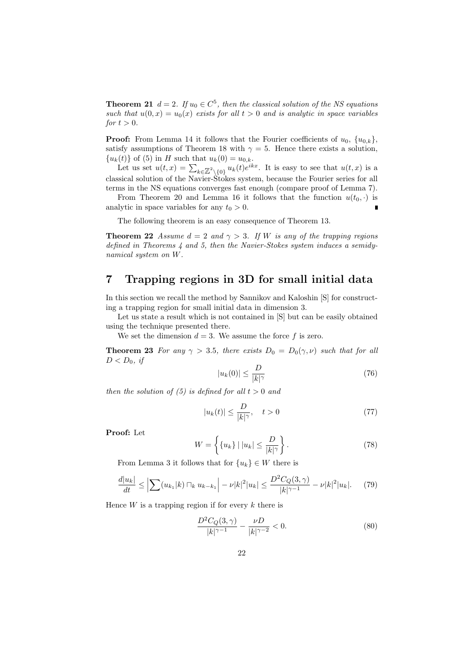**Theorem 21**  $d = 2$ *. If*  $u_0 \in C^5$ *, then the classical solution of the NS equations such that*  $u(0, x) = u_0(x)$  *exists for all*  $t > 0$  *and is analytic in space variables for*  $t > 0$ *.* 

**Proof:** From Lemma 14 it follows that the Fourier coefficients of  $u_0$ ,  $\{u_0, \{u_0, k\}$ satisfy assumptions of Theorem 18 with  $\gamma = 5$ . Hence there exists a solution,  ${u_k(t)}$  of (5) in *H* such that  $u_k(0) = u_{0,k}$ .

Let us set  $u(t, x) = \sum_{k \in \mathbb{Z}^2 \setminus \{0\}} u_k(t) e^{ikx}$ . It is easy to see that  $u(t, x)$  is a classical solution of the Navier-Stokes system, because the Fourier series for all terms in the NS equations converges fast enough (compare proof of Lemma 7).

From Theorem 20 and Lemma 16 it follows that the function  $u(t_0, \cdot)$  is analytic in space variables for any  $t_0 > 0$ . ٠

The following theorem is an easy consequence of Theorem 13.

**Theorem 22** *Assume*  $d = 2$  *and*  $\gamma > 3$ *. If W is any of the trapping regions defined in Theorems 4 and 5, then the Navier-Stokes system induces a semidynamical system on W.*

# **7 Trapping regions in 3D for small initial data**

In this section we recall the method by Sannikov and Kaloshin [S] for constructing a trapping region for small initial data in dimension 3.

Let us state a result which is not contained in [S] but can be easily obtained using the technique presented there.

We set the dimension  $d = 3$ . We assume the force  $f$  is zero.

**Theorem 23** *For any*  $\gamma > 3.5$ *, there exists*  $D_0 = D_0(\gamma, \nu)$  *such that for all*  $D < D_0$ *, if* 

$$
|u_k(0)| \le \frac{D}{|k|^\gamma} \tag{76}
$$

*then the solution of (5) is defined for all*  $t > 0$  *and* 

$$
|u_k(t)| \le \frac{D}{|k|^\gamma}, \quad t > 0 \tag{77}
$$

**Proof:** Let

$$
W = \left\{ \{u_k\} \mid |u_k| \le \frac{D}{|k|^\gamma} \right\}.
$$
\n(78)

From Lemma 3 it follows that for  $\{u_k\} \in W$  there is

$$
\frac{d|u_k|}{dt} \le \left| \sum (u_{k_1}|k) \sqcap_k u_{k-k_1} \right| - \nu |k|^2 |u_k| \le \frac{D^2 C_Q(3, \gamma)}{|k|^{\gamma - 1}} - \nu |k|^2 |u_k|. \tag{79}
$$

Hence *W* is a trapping region if for every *k* there is

$$
\frac{D^2 C_Q(3,\gamma)}{|k|^{\gamma - 1}} - \frac{\nu D}{|k|^{\gamma - 2}} < 0. \tag{80}
$$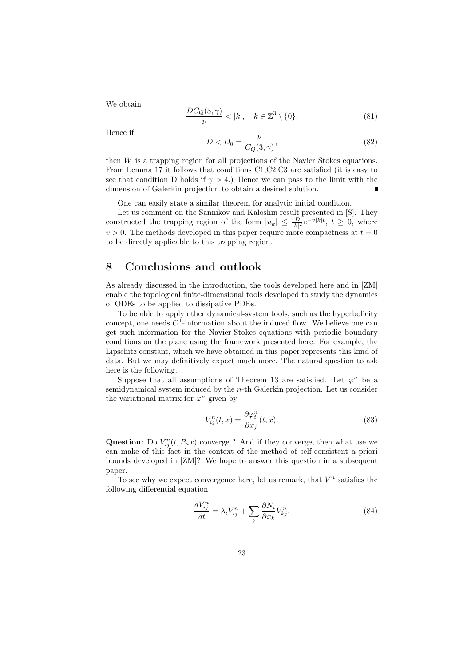We obtain

$$
\frac{DC_Q(3,\gamma)}{\nu} < |k|, \quad k \in \mathbb{Z}^3 \setminus \{0\}.\tag{81}
$$

Hence if

$$
D < D_0 = \frac{\nu}{C_Q(3,\gamma)},\tag{82}
$$

then *W* is a trapping region for all projections of the Navier Stokes equations. From Lemma 17 it follows that conditions C1,C2,C3 are satisfied (it is easy to see that condition D holds if  $\gamma > 4$ .) Hence we can pass to the limit with the dimension of Galerkin projection to obtain a desired solution.

One can easily state a similar theorem for analytic initial condition.

Let us comment on the Sannikov and Kaloshin result presented in [S]. They constructed the trapping region of the form  $|u_k| \leq \frac{D}{|k|^2} e^{-v|k|t}$ ,  $t \geq 0$ , where  $v > 0$ . The methods developed in this paper require more compactness at  $t = 0$ to be directly applicable to this trapping region.

### **8 Conclusions and outlook**

As already discussed in the introduction, the tools developed here and in [ZM] enable the topological finite-dimensional tools developed to study the dynamics of ODEs to be applied to dissipative PDEs.

To be able to apply other dynamical-system tools, such as the hyperbolicity concept, one needs  $C^1$ -information about the induced flow. We believe one can get such information for the Navier-Stokes equations with periodic boundary conditions on the plane using the framework presented here. For example, the Lipschitz constant, which we have obtained in this paper represents this kind of data. But we may definitively expect much more. The natural question to ask here is the following.

Suppose that all assumptions of Theorem 13 are satisfied. Let  $\varphi^n$  be a semidynamical system induced by the *n*-th Galerkin projection. Let us consider the variational matrix for  $\varphi^n$  given by

$$
V_{ij}^{n}(t,x) = \frac{\partial \varphi_{i}^{n}}{\partial x_{j}}(t,x). \tag{83}
$$

**Question:** Do  $V_{ij}^n(t, P_n x)$  converge ? And if they converge, then what use we can make of this fact in the context of the method of self-consistent a priori bounds developed in [ZM]? We hope to answer this question in a subsequent paper.

To see why we expect convergence here, let us remark, that  $V^n$  satisfies the following differential equation

$$
\frac{dV_{ij}^n}{dt} = \lambda_i V_{ij}^n + \sum_k \frac{\partial N_i}{\partial x_k} V_{kj}^n.
$$
\n(84)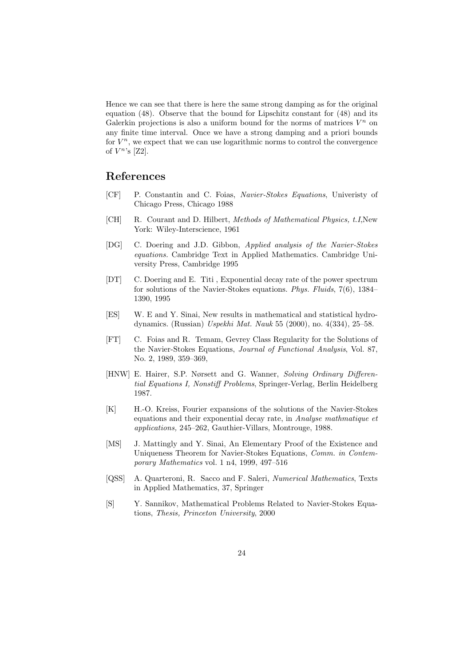Hence we can see that there is here the same strong damping as for the original equation (48). Observe that the bound for Lipschitz constant for (48) and its Galerkin projections is also a uniform bound for the norms of matrices  $V^n$  on any finite time interval. Once we have a strong damping and a priori bounds for  $V^n$ , we expect that we can use logarithmic norms to control the convergence of  $V^{n}$ 's [Z2].

# **References**

- [CF] P. Constantin and C. Foias, *Navier-Stokes Equations*, Univeristy of Chicago Press, Chicago 1988
- [CH] R. Courant and D. Hilbert, *Methods of Mathematical Physics, t.I*,New York: Wiley-Interscience, 1961
- [DG] C. Doering and J.D. Gibbon, *Applied analysis of the Navier-Stokes equations.* Cambridge Text in Applied Mathematics. Cambridge University Press, Cambridge 1995
- [DT] C. Doering and E. Titi , Exponential decay rate of the power spectrum for solutions of the Navier-Stokes equations. *Phys. Fluids*, 7(6), 1384– 1390, 1995
- [ES] W. E and Y. Sinai, New results in mathematical and statistical hydrodynamics. (Russian) *Uspekhi Mat. Nauk* 55 (2000), no. 4(334), 25–58.
- [FT] C. Foias and R. Temam, Gevrey Class Regularity for the Solutions of the Navier-Stokes Equations, *Journal of Functional Analysis*, Vol. 87, No. 2, 1989, 359–369,
- [HNW] E. Hairer, S.P. Nørsett and G. Wanner, *Solving Ordinary Differential Equations I, Nonstiff Problems*, Springer-Verlag, Berlin Heidelberg 1987.
- [K] H.-O. Kreiss, Fourier expansions of the solutions of the Navier-Stokes equations and their exponential decay rate, in *Analyse mathmatique et applications,* 245–262, Gauthier-Villars, Montrouge, 1988.
- [MS] J. Mattingly and Y. Sinai, An Elementary Proof of the Existence and Uniqueness Theorem for Navier-Stokes Equations, *Comm. in Contemporary Mathematics* vol. 1 n4, 1999, 497–516
- [QSS] A. Quarteroni, R. Sacco and F. Saleri, *Numerical Mathematics*, Texts in Applied Mathematics, 37, Springer
- [S] Y. Sannikov, Mathematical Problems Related to Navier-Stokes Equations, *Thesis, Princeton University*, 2000